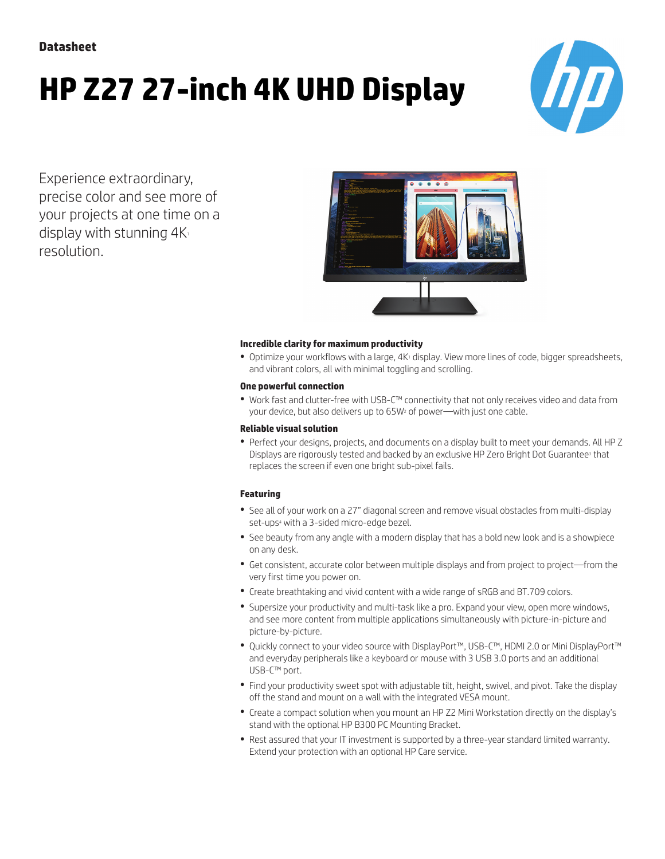**Datasheet**

# **HP Z27 27-inch 4K UHD Display**



Experience extraordinary, precise color and see more of your projects at one time on a display with stunning  $4K_1$ resolution.



#### **Incredible clarity for maximum productivity**

• Optimize your workflows with a large, 4K<sup>1</sup> display. View more lines of code, bigger spreadsheets, and vibrant colors, all with minimal toggling and scrolling.

#### **One powerful connection**

● Work fast and clutter-free with USB-C™ connectivity that not only receives video and data from your device, but also delivers up to 65W<sup>2</sup> of power—with just one cable.

#### **Reliable visual solution**

● Perfect your designs, projects, and documents on a display built to meet your demands. All HP Z Displays are rigorously tested and backed by an exclusive HP Zero Bright Dot Guarantee<sup>3</sup> that replaces the screen if even one bright sub-pixel fails.

#### **Featuring**

- See all of your work on a 27" diagonal screen and remove visual obstacles from multi-display set-ups<sup>4</sup> with a 3-sided micro-edge bezel.
- See beauty from any angle with a modern display that has a bold new look and is a showpiece on any desk.
- Get consistent, accurate color between multiple displays and from project to project—from the very first time you power on.
- Create breathtaking and vivid content with a wide range of sRGB and BT.709 colors.
- Supersize your productivity and multi-task like a pro. Expand your view, open more windows, and see more content from multiple applications simultaneously with picture-in-picture and picture-by-picture.
- Quickly connect to your video source with DisplayPort™, USB-C™, HDMI 2.0 or Mini DisplayPort™ and everyday peripherals like a keyboard or mouse with 3 USB 3.0 ports and an additional USB-C™ port.
- Find your productivity sweet spot with adjustable tilt, height, swivel, and pivot. Take the display off the stand and mount on a wall with the integrated VESA mount.
- Create a compact solution when you mount an HP Z2 Mini Workstation directly on the display's stand with the optional HP B300 PC Mounting Bracket.
- Rest assured that your IT investment is supported by a three-year standard limited warranty. Extend your protection with an optional HP Care service.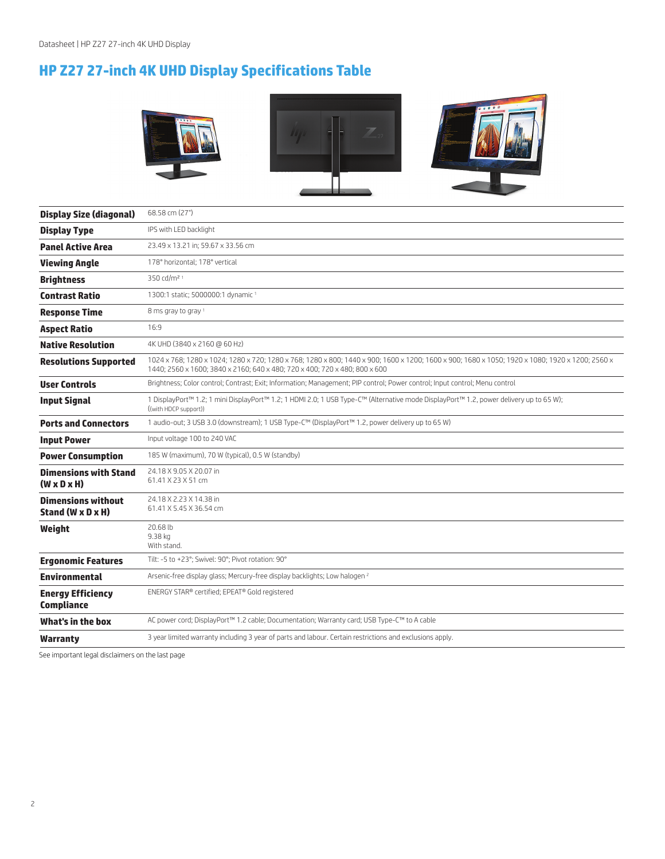## **HP Z27 27-inch 4K UHD Display Specifications Table**



| <b>Display Size (diagonal)</b>                          | 68.58 cm (27")                                                                                                                                                                                                                |  |  |
|---------------------------------------------------------|-------------------------------------------------------------------------------------------------------------------------------------------------------------------------------------------------------------------------------|--|--|
| <b>Display Type</b>                                     | IPS with LED backlight                                                                                                                                                                                                        |  |  |
| <b>Panel Active Area</b>                                | 23.49 x 13.21 in; 59.67 x 33.56 cm                                                                                                                                                                                            |  |  |
| <b>Viewing Angle</b>                                    | 178° horizontal; 178° vertical                                                                                                                                                                                                |  |  |
| <b>Brightness</b>                                       | 350 cd/m <sup>2 1</sup>                                                                                                                                                                                                       |  |  |
| <b>Contrast Ratio</b>                                   | 1300:1 static; 5000000:1 dynamic <sup>1</sup>                                                                                                                                                                                 |  |  |
| <b>Response Time</b>                                    | 8 ms gray to gray 1                                                                                                                                                                                                           |  |  |
| <b>Aspect Ratio</b>                                     | 16:9                                                                                                                                                                                                                          |  |  |
| <b>Native Resolution</b>                                | 4K UHD (3840 x 2160 @ 60 Hz)                                                                                                                                                                                                  |  |  |
| <b>Resolutions Supported</b>                            | 1024 x 768; 1280 x 1024; 1280 x 720; 1280 x 768; 1280 x 800; 1440 x 900; 1600 x 1200; 1600 x 900; 1680 x 1050; 1920 x 1080; 1920 x 1200; 2560 x<br>1440; 2560 x 1600; 3840 x 2160; 640 x 480; 720 x 400; 720 x 480; 800 x 600 |  |  |
| <b>User Controls</b>                                    | Brightness; Color control; Contrast; Exit; Information; Management; PIP control; Power control; Input control; Menu control                                                                                                   |  |  |
| <b>Input Signal</b>                                     | 1 DisplayPort™ 1.2; 1 mini DisplayPort™ 1.2; 1 HDMI 2.0; 1 USB Type-C™ (Alternative mode DisplayPort™ 1.2, power delivery up to 65 W);<br>((with HDCP support))                                                               |  |  |
| <b>Ports and Connectors</b>                             | 1 audio-out; 3 USB 3.0 (downstream); 1 USB Type-C™ (DisplayPort™ 1.2, power delivery up to 65 W)                                                                                                                              |  |  |
| <b>Input Power</b>                                      | Input voltage 100 to 240 VAC                                                                                                                                                                                                  |  |  |
| <b>Power Consumption</b>                                | 185 W (maximum), 70 W (typical), 0.5 W (standby)                                                                                                                                                                              |  |  |
| <b>Dimensions with Stand</b><br>$(W \times D \times H)$ | 24.18 X 9.05 X 20.07 in<br>61.41 X 23 X 51 cm                                                                                                                                                                                 |  |  |
| <b>Dimensions without</b><br>Stand (W x D x H)          | 24.18 X 2.23 X 14.38 in<br>61.41 X 5.45 X 36.54 cm                                                                                                                                                                            |  |  |
| Weight                                                  | 20.68 lb<br>9.38 kg<br>With stand.                                                                                                                                                                                            |  |  |
| <b>Ergonomic Features</b>                               | Tilt: -5 to +23°; Swivel: 90°; Pivot rotation: 90°                                                                                                                                                                            |  |  |
| <b>Environmental</b>                                    | Arsenic-free display glass; Mercury-free display backlights; Low halogen <sup>2</sup>                                                                                                                                         |  |  |
| <b>Energy Efficiency</b><br><b>Compliance</b>           | ENERGY STAR® certified; EPEAT® Gold registered                                                                                                                                                                                |  |  |
| What's in the box                                       | AC power cord; DisplayPort™ 1.2 cable; Documentation; Warranty card; USB Type-C™ to A cable                                                                                                                                   |  |  |
| Warranty                                                | 3 year limited warranty including 3 year of parts and labour. Certain restrictions and exclusions apply.                                                                                                                      |  |  |
|                                                         |                                                                                                                                                                                                                               |  |  |

See important legal disclaimers on the last page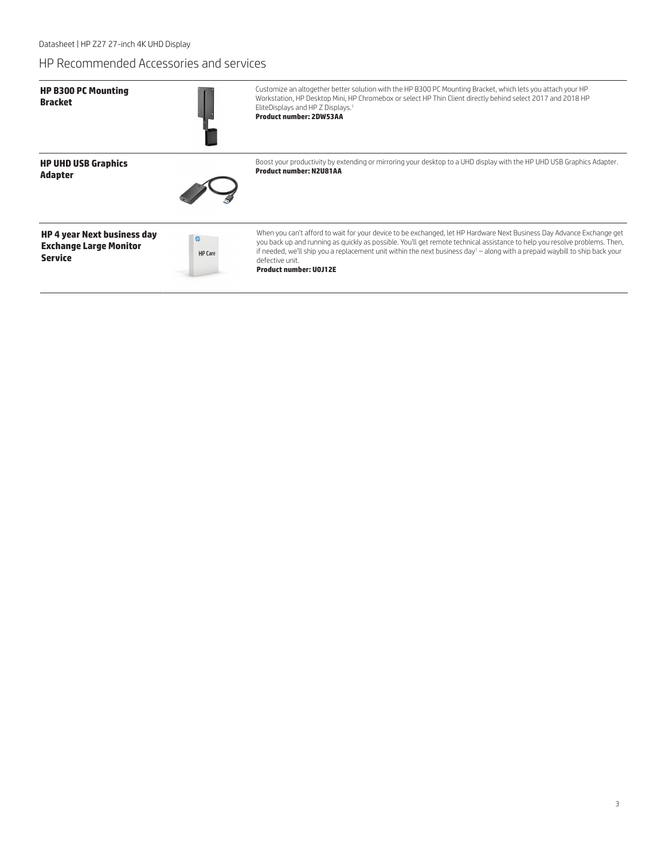Datasheet | HP Z27 27-inch 4K UHD Display

### HP Recommended Accessories and services

| <b>HP B300 PC Mounting</b><br><b>Bracket</b>                                          |                     | Customize an altogether better solution with the HP B300 PC Mounting Bracket, which lets you attach your HP<br>Workstation, HP Desktop Mini, HP Chromebox or select HP Thin Client directly behind select 2017 and 2018 HP<br>EliteDisplays and HP Z Displays. <sup>1</sup><br><b>Product number: 2DW53AA</b>                                                                                                                                      |
|---------------------------------------------------------------------------------------|---------------------|----------------------------------------------------------------------------------------------------------------------------------------------------------------------------------------------------------------------------------------------------------------------------------------------------------------------------------------------------------------------------------------------------------------------------------------------------|
| <b>HP UHD USB Graphics</b><br><b>Adapter</b>                                          |                     | Boost your productivity by extending or mirroring your desktop to a UHD display with the HP UHD USB Graphics Adapter.<br><b>Product number: N2U81AA</b>                                                                                                                                                                                                                                                                                            |
| <b>HP 4 year Next business day</b><br><b>Exchange Large Monitor</b><br><b>Service</b> | $\omega$<br>HP Care | When you can't afford to wait for your device to be exchanged, let HP Hardware Next Business Day Advance Exchange get<br>you back up and running as quickly as possible. You'll get remote technical assistance to help you resolve problems. Then,<br>if needed, we'll ship you a replacement unit within the next business day <sup>1</sup> - along with a prepaid waybill to ship back your<br>defective unit.<br><b>Product number: UOJ12E</b> |